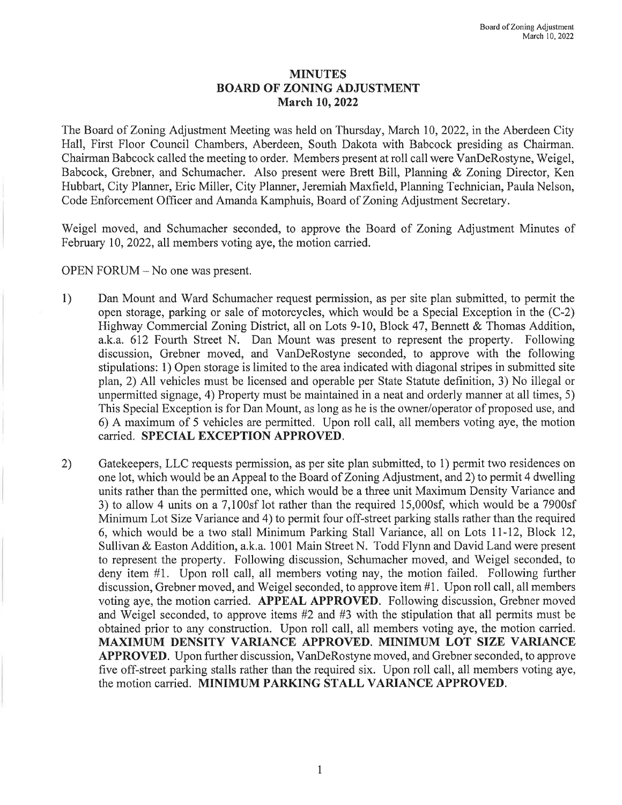## MINUTES BOARD OF ZONING ADJUSTMENT March 10, 2022

The Board of Zoning Adjustment Meeting was held on Thursday, March 10, 2022, in the Aberdeen City Hall, First Floor Council Chambers, Aberdeen, South Dakota with Babcock presiding as Chairman. Chairman Babcock called the meeting to order. Members present at roll call were VanDeRostyne, Weigel, Babcock, Grebner, and Schumacher. Also present were Brett Bill, Planning & Zoning Director, Ken Hubbart, City Planner, Eric Miller, City Planner, Jeremiah Maxfield, Planning Technician, Paula Nelson, Code Enforcement Officer and Amanda Kamphuis, Board of Zoning Adjustment Secretary.

Weigel moved, and Schumacher seconded, to approve the Board of Zoning Adjustment Minutes of February 10, 2022, all members voting aye, the motion carried.

OPEN FORUM - No one was present.

- 1) Dan Mount and Ward Schumacher request permission, as per site plan submitted, to permit the open storage, parking or sale of motorcycles, which would be a Special Exception in the (C-2) Highway Commercial Zoning District, all on Lots 9-10, Block 47, Bennett & Thomas Addition, a.k.a. 612 Fourth Street N. Dan Mount was present to represent the property. Following discussion, Grebner moved, and VanDeRostyne seconded, to approve with the following stipulations: 1) Open storage is limited to the area indicated with diagonal stripes in submitted site plan, 2) All vehicles must be licensed and operable per State Statute definition, 3) No illegal or unpermitted signage, 4) Property must be maintained in a neat and orderly manner at all times, 5) This Special Exception is for Dan Mount, as long as he is the owner/operator of proposed use, and 6) A maximum of5 vehicles are permitted. Upon roll call, all members voting aye, the motion carried. SPECIAL EXCEPTION APPROVED.
- 2) Gatekeepers, LLC requests permission, as per site plan submitted, to 1) permit two residences on one lot, which would be an Appeal to the Board of Zoning Adjustment, and 2) to permit 4 dwelling units rather than the permitted one, which would be a three unit Maximum Density Variance and 3) to allow 4 units on a 7,100sf lot rather than the required 15,000sf, which would be a 7900sf Minimum Lot Size Variance and 4) to permit four off-street parking stalls rather than the required 6, which would be a two stall Minimum Parking Stall Variance, all on Lots 11-12, Block 12, Sullivan & Easton Addition, a.k.a. 1001 Main Street N. Todd Flynn and David Land were present to represent the property. Following discussion, Schumacher moved, and Weigel seconded, to deny item #1. Upon roll call, all members voting nay, the motion failed. Following further discussion, Grebner moved, and Weigel seconded, to approve item #1. Upon roll call, all members voting aye, the motion carried. APPEAL APPROVED. Following discussion, Grebner moved and Weigel seconded, to approve items #2 and #3 with the stipulation that all permits must be obtained prior to any construction. Upon roll call, all members voting aye, the motion carried. MAXIMUM DENSITY VARIANCE APPROVED. MINIMUM LOT SIZE VARIANCE APPROVED. Upon further discussion, VanDeRostyne moved, and Grebner seconded, to approve five off-street parking stalls rather than the required six. Upon roll call, all members voting aye, the motion carried. MINIMUM PARKING STALL VARIANCE APPROVED.